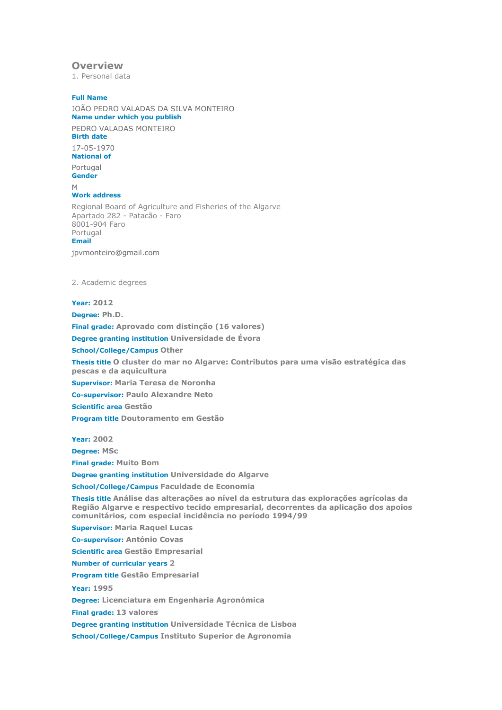# **Overview**

1. Personal data

# **Full Name**

JOÃO PEDRO VALADAS DA SILVA MONTEIRO **Name under which you publish**

PEDRO VALADAS MONTEIRO **Birth date**

17-05-1970 **National of**

Portugal

**Gender**

#### M

**Work address**

Regional Board of Agriculture and Fisheries of the Algarve Apartado 282 - Patacão - Faro 8001-904 Faro Portugal **Email**

jpvmonteiro@gmail.com

2. Academic degrees

#### **Year: 2012**

**Degree: Ph.D. Final grade: Aprovado com distinção (16 valores) Degree granting institution Universidade de Évora School/College/Campus Other Thesis title O cluster do mar no Algarve: Contributos para uma visão estratégica das pescas e da aquicultura Supervisor: Maria Teresa de Noronha**

**Co-supervisor: Paulo Alexandre Neto**

**Scientific area Gestão**

**Program title Doutoramento em Gestão**

**Year: 2002**

**Degree: MSc**

**Final grade: Muito Bom**

**Degree granting institution Universidade do Algarve**

**School/College/Campus Faculdade de Economia**

**Thesis title Análise das alterações ao nível da estrutura das explorações agrícolas da Região Algarve e respectivo tecido empresarial, decorrentes da aplicação dos apoios comunitários, com especial incidência no período 1994/99**

**Supervisor: Maria Raquel Lucas**

**Co-supervisor: António Covas**

**Scientific area Gestão Empresarial**

**Number of curricular years 2**

**Program title Gestão Empresarial**

**Year: 1995**

**Degree: Licenciatura em Engenharia Agronómica**

**Final grade: 13 valores**

**Degree granting institution Universidade Técnica de Lisboa**

**School/College/Campus Instituto Superior de Agronomia**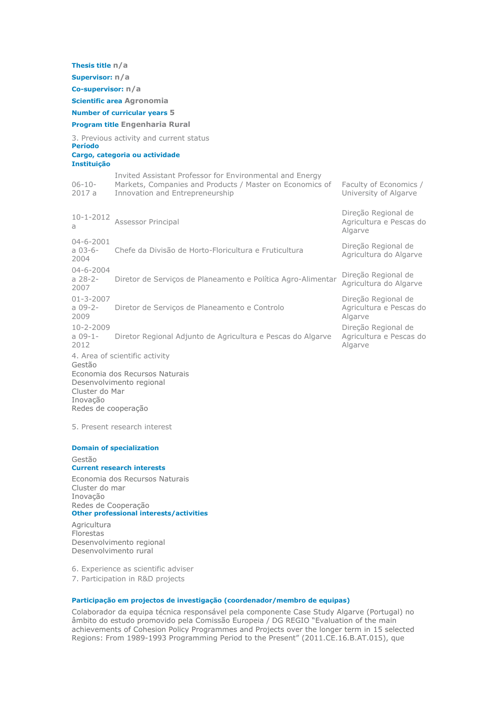**Thesis title n/a Supervisor: n/a Co-supervisor: n/a Scientific area Agronomia Number of curricular years 5 Program title Engenharia Rural** 3. Previous activity and current status **Período Cargo, categoria ou actividade Instituição** 06-10- 2017 a Invited Assistant Professor for Environmental and Energy Markets, Companies and Products / Master on Economics of Innovation and Entrepreneurship Faculty of Economics / University of Algarve 10-1-2012 a Assessor Principal Direção Regional de Agricultura e Pescas do Algarve 04-6-2001 a 03-6- 2004 Chefe da Divisão de Horto-Floricultura e Fruticultura Direção Regional de Agricultura do Algarve 04-6-2004 a 28-2- 2007 Diretor de Serviços de Planeamento e Política Agro-Alimentar Direção Regional de Agricultura do Algarve 01-3-2007 a 09-2- 2009 Diretor de Serviços de Planeamento e Controlo Direção Regional de Agricultura e Pescas do Algarve 10-2-2009 a 09-1- 2012 Diretor Regional Adjunto de Agricultura e Pescas do Algarve Direção Regional de Agricultura e Pescas do Algarve 4. Area of scientific activity Gestão Economia dos Recursos Naturais Desenvolvimento regional Cluster do Mar Inovação

Redes de cooperação

5. Present research interest

#### **Domain of specialization** Gestão **Current research interests**

Economia dos Recursos Naturais Cluster do mar Inovação Redes de Cooperação **Other professional interests/activities**

**Agricultura** Florestas Desenvolvimento regional Desenvolvimento rural

6. Experience as scientific adviser

7. Participation in R&D projects

#### **Participação em projectos de investigação (coordenador/membro de equipas)**

Colaborador da equipa técnica responsável pela componente Case Study Algarve (Portugal) no âmbito do estudo promovido pela Comissão Europeia / DG REGIO "Evaluation of the main achievements of Cohesion Policy Programmes and Projects over the longer term in 15 selected Regions: From 1989-1993 Programming Period to the Present" (2011.CE.16.B.AT.015), que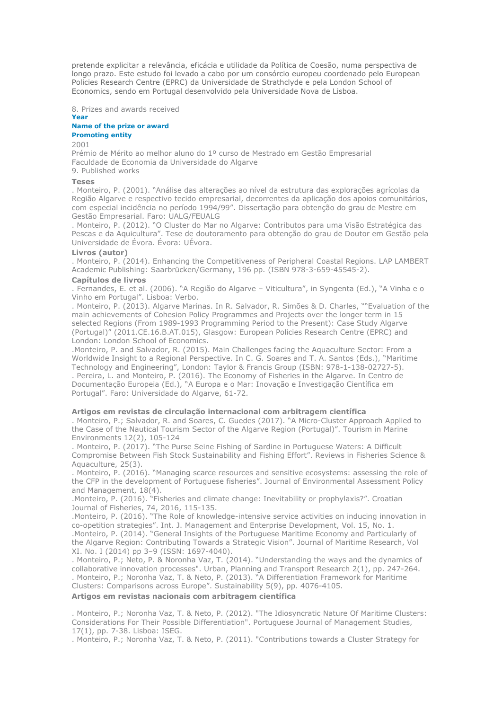pretende explicitar a relevância, eficácia e utilidade da Política de Coesão, numa perspectiva de longo prazo. Este estudo foi levado a cabo por um consórcio europeu coordenado pelo European Policies Research Centre (EPRC) da Universidade de Strathclyde e pela London School of Economics, sendo em Portugal desenvolvido pela Universidade Nova de Lisboa.

8. Prizes and awards received **Year**

# **Name of the prize or award Promoting entity**

2001

Prémio de Mérito ao melhor aluno do 1º curso de Mestrado em Gestão Empresarial Faculdade de Economia da Universidade do Algarve

9. Published works

## **Teses**

. Monteiro, P. (2001). "Análise das alterações ao nível da estrutura das explorações agrícolas da Região Algarve e respectivo tecido empresarial, decorrentes da aplicação dos apoios comunitários, com especial incidência no período 1994/99". Dissertação para obtenção do grau de Mestre em Gestão Empresarial. Faro: UALG/FEUALG

. Monteiro, P. (2012). "O Cluster do Mar no Algarve: Contributos para uma Visão Estratégica das Pescas e da Aquicultura". Tese de doutoramento para obtenção do grau de Doutor em Gestão pela Universidade de Évora. Évora: UÉvora.

#### **Livros (autor)**

. Monteiro, P. (2014). Enhancing the Competitiveness of Peripheral Coastal Regions. LAP LAMBERT Academic Publishing: Saarbrücken/Germany, 196 pp. (ISBN 978-3-659-45545-2).

#### **Capítulos de livros**

. Fernandes, E. et al. (2006). "A Região do Algarve – Viticultura", in Syngenta (Ed.), "A Vinha e o Vinho em Portugal". Lisboa: Verbo.

. Monteiro, P. (2013). Algarve Marinas. In R. Salvador, R. Simões & D. Charles, ""Evaluation of the main achievements of Cohesion Policy Programmes and Projects over the longer term in 15 selected Regions (From 1989-1993 Programming Period to the Present): Case Study Algarve (Portugal)" (2011.CE.16.B.AT.015), Glasgow: European Policies Research Centre (EPRC) and London: London School of Economics.

.Monteiro, P. and Salvador, R. (2015). Main Challenges facing the Aquaculture Sector: From a Worldwide Insight to a Regional Perspective. In C. G. Soares and T. A. Santos (Eds.), "Maritime Technology and Engineering", London: Taylor & Francis Group (ISBN: 978-1-138-02727-5).

. Pereira, L. and Monteiro, P. (2016). The Economy of Fisheries in the Algarve. In Centro de Documentação Europeia (Ed.), "A Europa e o Mar: Inovação e Investigação Científica em Portugal". Faro: Universidade do Algarve, 61-72.

## **Artigos em revistas de circulação internacional com arbitragem científica**

. Monteiro, P.; Salvador, R. and Soares, C. Guedes (2017). "A Micro-Cluster Approach Applied to the Case of the Nautical Tourism Sector of the Algarve Region (Portugal)". Tourism in Marine Environments 12(2), 105-124

. Monteiro, P. (2017). "The Purse Seine Fishing of Sardine in Portuguese Waters: A Difficult Compromise Between Fish Stock Sustainability and Fishing Effort". Reviews in Fisheries Science & Aquaculture, 25(3).

. Monteiro, P. (2016). "Managing scarce resources and sensitive ecosystems: assessing the role of the CFP in the development of Portuguese fisheries". Journal of Environmental Assessment Policy and Management, 18(4).

.Monteiro, P. (2016). "Fisheries and climate change: Inevitability or prophylaxis?". Croatian Journal of Fisheries, 74, 2016, 115-135.

.Monteiro, P. (2016). "The Role of knowledge-intensive service activities on inducing innovation in co-opetition strategies". Int. J. Management and Enterprise Development, Vol. 15, No. 1.

.Monteiro, P. (2014). "General Insights of the Portuguese Maritime Economy and Particularly of the Algarve Region: Contributing Towards a Strategic Vision". Journal of Maritime Research, Vol XI. No. I (2014) pp 3–9 (ISSN: 1697-4040).

. Monteiro, P.; Neto, P. & Noronha Vaz, T. (2014). "Understanding the ways and the dynamics of collaborative innovation processes". Urban, Planning and Transport Research 2(1), pp. 247-264. . Monteiro, P.; Noronha Vaz, T. & Neto, P. (2013). "A Differentiation Framework for Maritime Clusters: Comparisons across Europe". Sustainability 5(9), pp. 4076-4105.

#### **Artigos em revistas nacionais com arbitragem científica**

. Monteiro, P.; Noronha Vaz, T. & Neto, P. (2012). "The Idiosyncratic Nature Of Maritime Clusters: Considerations For Their Possible Differentiation". Portuguese Journal of Management Studies, 17(1), pp. 7-38. Lisboa: ISEG.

. Monteiro, P.; Noronha Vaz, T. & Neto, P. (2011). "Contributions towards a Cluster Strategy for